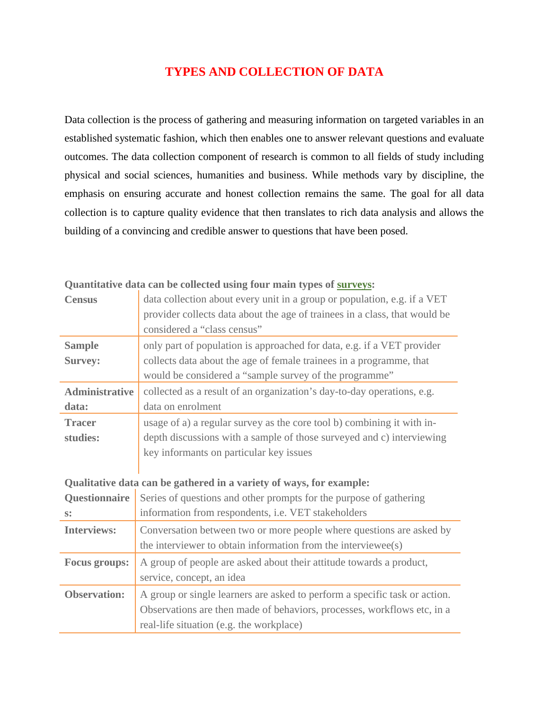# **TYPES AND COLLECTION OF DATA**

Data collection is the process of gathering and measuring information on targeted variables in an established systematic fashion, which then enables one to answer relevant questions and evaluate outcomes. The data collection component of research is common to all fields of study including physical and social sciences, humanities and business. While methods vary by discipline, the emphasis on ensuring accurate and honest collection remains the same. The goal for all data collection is to capture quality evidence that then translates to rich data analysis and allows the building of a convincing and credible answer to questions that have been posed.

| $\cdots$                                                            |                                                                            |
|---------------------------------------------------------------------|----------------------------------------------------------------------------|
| <b>Census</b>                                                       | data collection about every unit in a group or population, e.g. if a VET   |
|                                                                     | provider collects data about the age of trainees in a class, that would be |
|                                                                     | considered a "class census"                                                |
| <b>Sample</b>                                                       | only part of population is approached for data, e.g. if a VET provider     |
| <b>Survey:</b>                                                      | collects data about the age of female trainees in a programme, that        |
|                                                                     | would be considered a "sample survey of the programme"                     |
| <b>Administrative</b>                                               | collected as a result of an organization's day-to-day operations, e.g.     |
| data:                                                               | data on enrolment                                                          |
| <b>Tracer</b>                                                       | usage of a) a regular survey as the core tool b) combining it with in-     |
| studies:                                                            | depth discussions with a sample of those surveyed and c) interviewing      |
|                                                                     | key informants on particular key issues                                    |
|                                                                     |                                                                            |
| Qualitative data can be gathered in a variety of ways, for example: |                                                                            |
| Questionnaire                                                       | Series of questions and other prompts for the purpose of gathering         |
| $S^*$                                                               | information from respondents, i.e. VET stakeholders                        |
| <b>Interviews:</b>                                                  | Conversation between two or more people where questions are asked by       |
|                                                                     | the interviewer to obtain information from the interviewee(s)              |
| <b>Focus groups:</b>                                                | A group of people are asked about their attitude towards a product,        |
|                                                                     | service, concept, an idea                                                  |
| <b>Observation:</b>                                                 | A group or single learners are asked to perform a specific task or action. |
|                                                                     | Observations are then made of behaviors, processes, workflows etc, in a    |
|                                                                     | real-life situation (e.g. the workplace)                                   |
|                                                                     |                                                                            |

**Quantitative data can be collected using four main types of surveys:**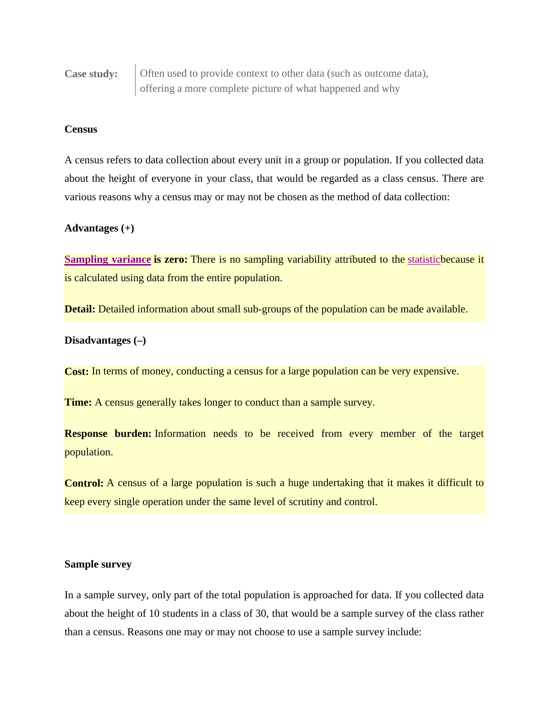**Case study: Often used to provide context to other data (such as outcome data),** offering a more complete picture of what happened and why

## **Census**

A census refers to data collection about every unit in a group or population. If you collected data about the height of everyone in your class, that would be regarded as a class census. There are various reasons why a census may or may not be chosen as the method of data collection:

#### **Advantages (+)**

**Sampling variance is zero:** There is no sampling variability attributed to the statisticbecause it is calculated using data from the entire population.

**Detail:** Detailed information about small sub-groups of the population can be made available.

#### **Disadvantages (–)**

**Cost:** In terms of money, conducting a census for a large population can be very expensive.

**Time:** A census generally takes longer to conduct than a sample survey.

**Response burden:** Information needs to be received from every member of the target population.

**Control:** A census of a large population is such a huge undertaking that it makes it difficult to keep every single operation under the same level of scrutiny and control.

# **Sample survey**

In a sample survey, only part of the total population is approached for data. If you collected data about the height of 10 students in a class of 30, that would be a sample survey of the class rather than a census. Reasons one may or may not choose to use a sample survey include: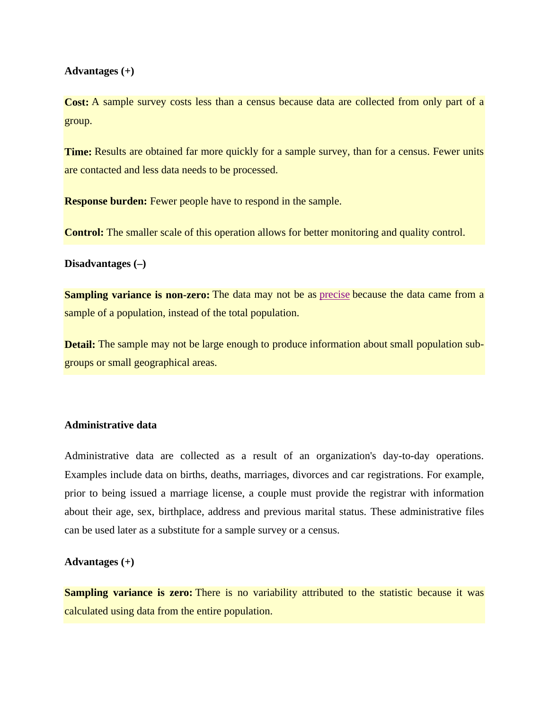#### **Advantages (+)**

**Cost:** A sample survey costs less than a census because data are collected from only part of a group.

**Time:** Results are obtained far more quickly for a sample survey, than for a census. Fewer units are contacted and less data needs to be processed.

**Response burden:** Fewer people have to respond in the sample.

**Control:** The smaller scale of this operation allows for better monitoring and quality control.

## **Disadvantages (–)**

**Sampling variance is non-zero:** The data may not be as precise because the data came from a sample of a population, instead of the total population.

**Detail:** The sample may not be large enough to produce information about small population subgroups or small geographical areas.

# **Administrative data**

Administrative data are collected as a result of an organization's day-to-day operations. Examples include data on births, deaths, marriages, divorces and car registrations. For example, prior to being issued a marriage license, a couple must provide the registrar with information about their age, sex, birthplace, address and previous marital status. These administrative files can be used later as a substitute for a sample survey or a census.

# **Advantages (+)**

**Sampling variance is zero:** There is no variability attributed to the statistic because it was calculated using data from the entire population.